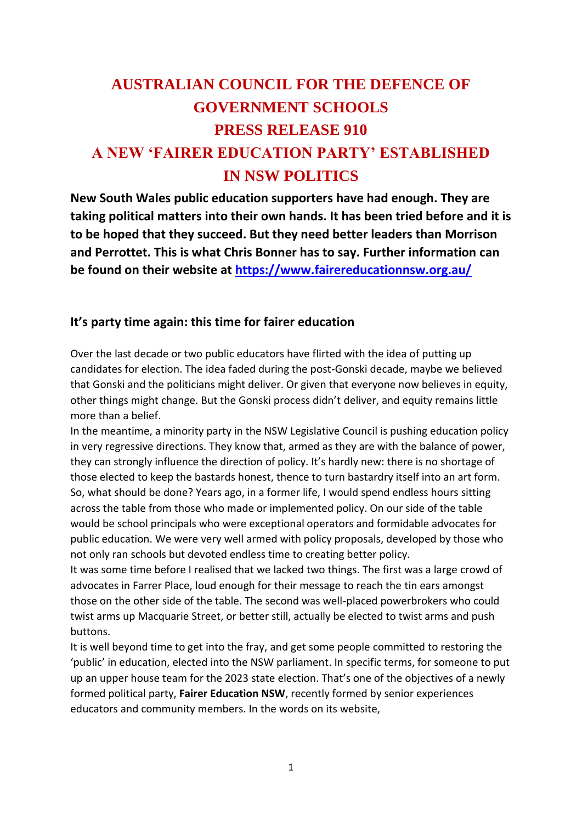## **AUSTRALIAN COUNCIL FOR THE DEFENCE OF GOVERNMENT SCHOOLS PRESS RELEASE 910 A NEW 'FAIRER EDUCATION PARTY' ESTABLISHED IN NSW POLITICS**

**New South Wales public education supporters have had enough. They are taking political matters into their own hands. It has been tried before and it is to be hoped that they succeed. But they need better leaders than Morrison and Perrottet. This is what Chris Bonner has to say. Further information can be found on their website at<https://www.fairereducationnsw.org.au/>**

## **It's party time again: this time for fairer education**

Over the last decade or two public educators have flirted with the idea of putting up candidates for election. The idea faded during the post-Gonski decade, maybe we believed that Gonski and the politicians might deliver. Or given that everyone now believes in equity, other things might change. But the Gonski process didn't deliver, and equity remains little more than a belief.

In the meantime, a minority party in the NSW Legislative Council is pushing education policy in very regressive directions. They know that, armed as they are with the balance of power, they can strongly influence the direction of policy. It's hardly new: there is no shortage of those elected to keep the bastards honest, thence to turn bastardry itself into an art form. So, what should be done? Years ago, in a former life, I would spend endless hours sitting across the table from those who made or implemented policy. On our side of the table would be school principals who were exceptional operators and formidable advocates for public education. We were very well armed with policy proposals, developed by those who not only ran schools but devoted endless time to creating better policy.

It was some time before I realised that we lacked two things. The first was a large crowd of advocates in Farrer Place, loud enough for their message to reach the tin ears amongst those on the other side of the table. The second was well-placed powerbrokers who could twist arms up Macquarie Street, or better still, actually be elected to twist arms and push buttons.

It is well beyond time to get into the fray, and get some people committed to restoring the 'public' in education, elected into the NSW parliament. In specific terms, for someone to put up an upper house team for the 2023 state election. That's one of the objectives of a newly formed political party, **Fairer Education NSW**, recently formed by senior experiences educators and community members. In the words on its website,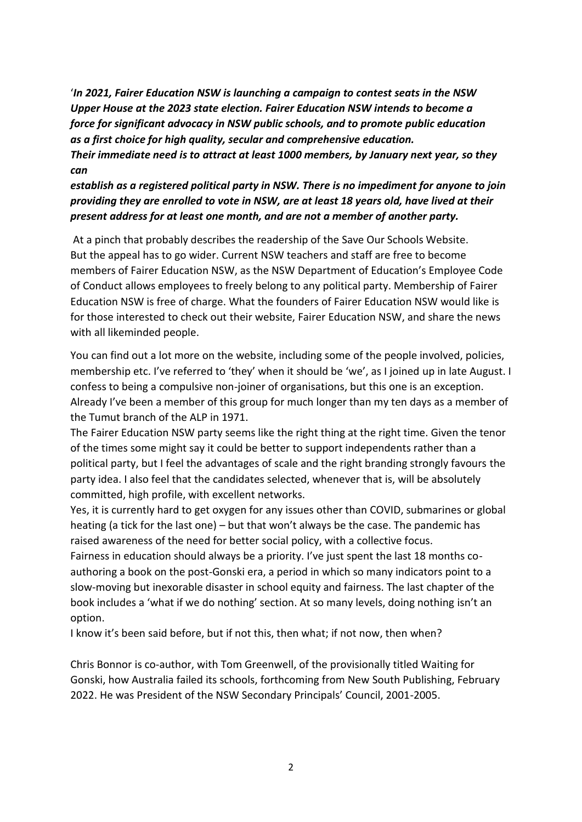'*In 2021, Fairer Education NSW is launching a campaign to contest seats in the NSW Upper House at the 2023 state election. Fairer Education NSW intends to become a force for significant advocacy in NSW public schools, and to promote public education as a first choice for high quality, secular and comprehensive education.* 

*Their immediate need is to attract at least 1000 members, by January next year, so they can* 

*establish as a registered political party in NSW. There is no impediment for anyone to join providing they are enrolled to vote in NSW, are at least 18 years old, have lived at their present address for at least one month, and are not a member of another party.*

At a pinch that probably describes the readership of the Save Our Schools Website. But the appeal has to go wider. Current NSW teachers and staff are free to become members of Fairer Education NSW, as the NSW Department of Education's Employee Code of Conduct allows employees to freely belong to any political party. Membership of Fairer Education NSW is free of charge. What the founders of Fairer Education NSW would like is for those interested to check out their website, Fairer Education NSW, and share the news with all likeminded people.

You can find out a lot more on the website, including some of the people involved, policies, membership etc. I've referred to 'they' when it should be 'we', as I joined up in late August. I confess to being a compulsive non-joiner of organisations, but this one is an exception. Already I've been a member of this group for much longer than my ten days as a member of the Tumut branch of the ALP in 1971.

The Fairer Education NSW party seems like the right thing at the right time. Given the tenor of the times some might say it could be better to support independents rather than a political party, but I feel the advantages of scale and the right branding strongly favours the party idea. I also feel that the candidates selected, whenever that is, will be absolutely committed, high profile, with excellent networks.

Yes, it is currently hard to get oxygen for any issues other than COVID, submarines or global heating (a tick for the last one) – but that won't always be the case. The pandemic has raised awareness of the need for better social policy, with a collective focus.

Fairness in education should always be a priority. I've just spent the last 18 months coauthoring a book on the post-Gonski era, a period in which so many indicators point to a slow-moving but inexorable disaster in school equity and fairness. The last chapter of the book includes a 'what if we do nothing' section. At so many levels, doing nothing isn't an option.

I know it's been said before, but if not this, then what; if not now, then when?

Chris Bonnor is co-author, with Tom Greenwell, of the provisionally titled Waiting for Gonski, how Australia failed its schools, forthcoming from New South Publishing, February 2022. He was President of the NSW Secondary Principals' Council, 2001-2005.